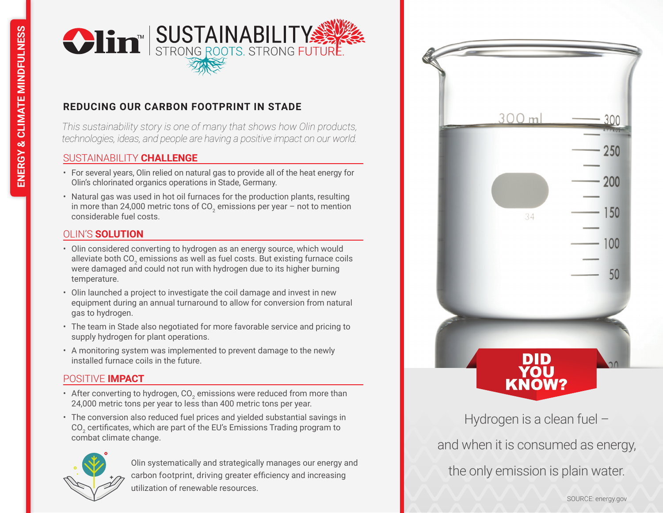

# **REDUCING OUR CARBON FOOTPRINT IN STADE**

*This sustainability story is one of many that shows how Olin products, technologies, ideas, and people are having a positive impact on our world.*

### SUSTAINABILITY **CHALLENGE**

- For several years, Olin relied on natural gas to provide all of the heat energy for Olin's chlorinated organics operations in Stade, Germany.
- Natural gas was used in hot oil furnaces for the production plants, resulting in more than 24,000 metric tons of CO<sub>2</sub> emissions per year – not to mention considerable fuel costs.

## OLIN'S **SOLUTION**

- Olin considered converting to hydrogen as an energy source, which would alleviate both CO $_2$  emissions as well as fuel costs. But existing furnace coils were damaged and could not run with hydrogen due to its higher burning temperature.
- Olin launched a project to investigate the coil damage and invest in new equipment during an annual turnaround to allow for conversion from natural gas to hydrogen.
- The team in Stade also negotiated for more favorable service and pricing to supply hydrogen for plant operations.
- A monitoring system was implemented to prevent damage to the newly installed furnace coils in the future.

### POSITIVE **IMPACT**

- After converting to hydrogen, CO $_{_2}$  emissions were reduced from more than 24,000 metric tons per year to less than 400 metric tons per year.
- The conversion also reduced fuel prices and yielded substantial savings in CO $_2$  certificates, which are part of the EU's Emissions Trading program to combat climate change.



Olin systematically and strategically manages our energy and carbon footprint, driving greater efficiency and increasing utilization of renewable resources.



Hydrogen is a clean fuel – and when it is consumed as energy, the only emission is plain water.